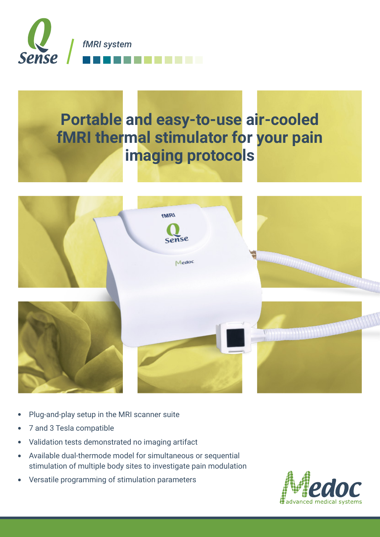

# **Portable and easy-to-use air-cooled fMRI** thermal stimulator for your pain **imaging protocols**



- Plug-and-play setup in the MRI scanner suite
- 7 and 3 Tesla compatible
- Validation tests demonstrated no imaging artifact
- Available dual-thermode model for simultaneous or sequential  $\bullet$ stimulation of multiple body sites to investigate pain modulation
- Versatile programming of stimulation parameters  $\bullet$